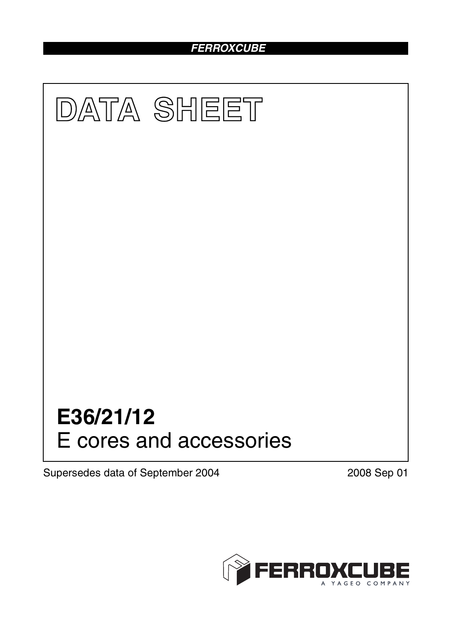# *FERROXCUBE*



Supersedes data of September 2004 2008 Sep 01

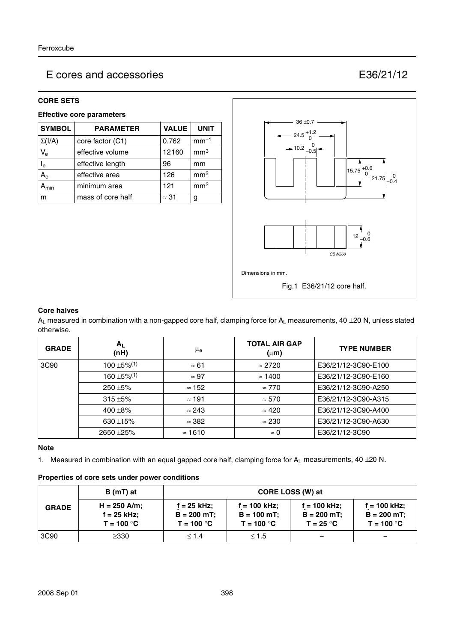## E cores and accessories E36/21/12

### **CORE SETS**

### **Effective core parameters**

| <b>SYMBOL</b>             | <b>PARAMETER</b>  | <b>VALUE</b> | <b>UNIT</b>     |
|---------------------------|-------------------|--------------|-----------------|
| $\Sigma(I/A)$             | core factor (C1)  | 0.762        | $mm-1$          |
| $V_{e}$                   | effective volume  | 12160        | mm <sup>3</sup> |
| $\mathsf{I}_{\mathsf{e}}$ | effective length  | 96           | mm              |
| $A_{\rm e}$               | effective area    | 126          | mm <sup>2</sup> |
| <b>\</b> min              | minimum area      | 121          | mm <sup>2</sup> |
| m                         | mass of core half | $\approx$ 31 | g               |



#### **Core halves**

 $A_L$  measured in combination with a non-gapped core half, clamping force for  $A_L$  measurements, 40 ±20 N, unless stated otherwise.

| <b>GRADE</b> | $A_L$<br>(nH)                | μe             | <b>TOTAL AIR GAP</b><br>$(\mu m)$ | <b>TYPE NUMBER</b>  |
|--------------|------------------------------|----------------|-----------------------------------|---------------------|
| 3C90         | $100 \pm 5\%$ <sup>(1)</sup> | $\approx 61$   | $\approx$ 2720                    | E36/21/12-3C90-E100 |
|              | $160 \pm 5\%$ <sup>(1)</sup> | $\approx 97$   | $\approx$ 1400                    | E36/21/12-3C90-E160 |
|              | $250 + 5\%$                  | $\approx$ 152  | $\approx 770$                     | E36/21/12-3C90-A250 |
|              | $315 + 5%$                   | $\approx$ 191  | $\approx 570$                     | E36/21/12-3C90-A315 |
|              | 400 $\pm$ 8%                 | $\approx$ 243  | $\approx 420$                     | E36/21/12-3C90-A400 |
|              | 630 $\pm$ 15%                | $\approx$ 382  | $\approx 230$                     | E36/21/12-3C90-A630 |
|              | 2650 ± 25%                   | $\approx$ 1610 | $\approx 0$                       | E36/21/12-3C90      |

## **Note**

1. Measured in combination with an equal gapped core half, clamping force for  $A_L$  measurements, 40  $\pm$ 20 N.

#### **Properties of core sets under power conditions**

|              | $B(mT)$ at                                      | CORE LOSS (W) at                               |                                                 |                                                |                                                 |
|--------------|-------------------------------------------------|------------------------------------------------|-------------------------------------------------|------------------------------------------------|-------------------------------------------------|
| <b>GRADE</b> | $H = 250$ A/m;<br>$f = 25$ kHz;<br>$T = 100 °C$ | $f = 25$ kHz;<br>$B = 200$ mT;<br>$T = 100 °C$ | $f = 100$ kHz;<br>$B = 100$ mT;<br>$T = 100 °C$ | $f = 100$ kHz;<br>$B = 200$ mT;<br>$T = 25 °C$ | $f = 100$ kHz;<br>$B = 200$ mT;<br>$T = 100 °C$ |
| 3C90         | ≥330                                            | $\leq 1.4$                                     | $\leq 1.5$                                      |                                                |                                                 |